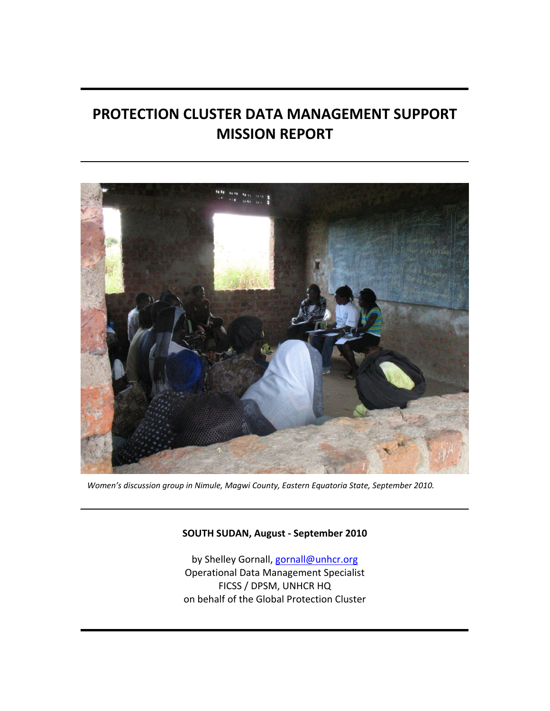# **PROTECTION CLUSTER DATA MANAGEMENT SUPPORT MISSION REPORT**



*Women's discussion group in Nimule, Magwi County, Eastern Equatoria State, September 2010.*

## **SOUTH SUDAN, August ‐ September 2010**

by Shelley Gornall, gornall@unhcr.org Operational Data Management Specialist FICSS / DPSM, UNHCR HQ on behalf of the Global Protection Cluster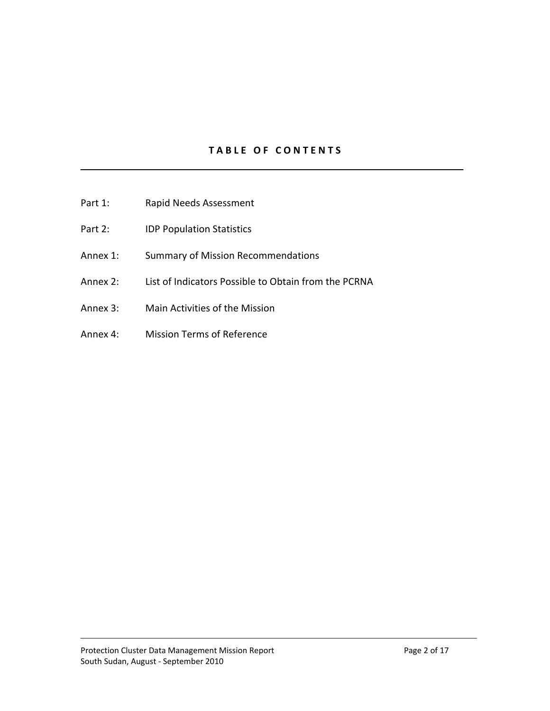## **T A B L E O F C O N T E N T S**

- Part 1: Rapid Needs Assessment
- Part 2: **IDP Population Statistics**
- Annex 1: Summary of Mission Recommendations
- Annex 2: List of Indicators Possible to Obtain from the PCRNA
- Annex 3: Main Activities of the Mission
- Annex 4: Mission Terms of Reference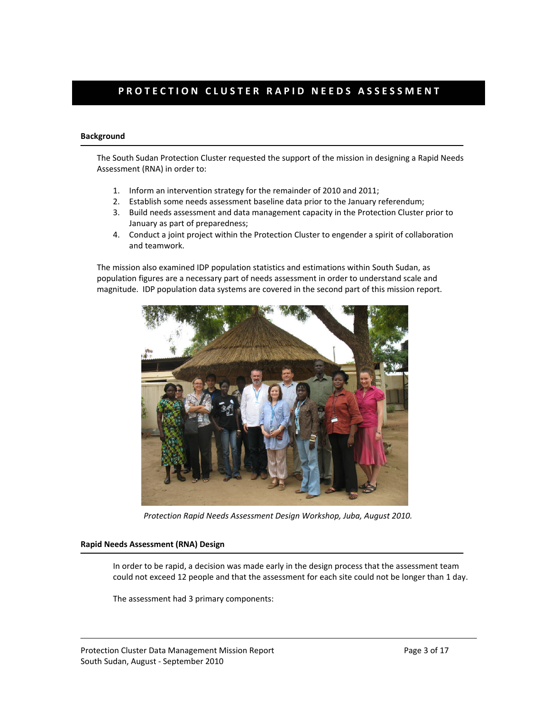## PROTECTION CLUSTER RAPID NEEDS ASSESSMENT

#### **Background**

The South Sudan Protection Cluster requested the support of the mission in designing a Rapid Needs Assessment (RNA) in order to:

- 1. Inform an intervention strategy for the remainder of 2010 and 2011;
- 2. Establish some needs assessment baseline data prior to the January referendum;
- 3. Build needs assessment and data management capacity in the Protection Cluster prior to January as part of preparedness;
- 4. Conduct a joint project within the Protection Cluster to engender a spirit of collaboration and teamwork.

The mission also examined IDP population statistics and estimations within South Sudan, as population figures are a necessary part of needs assessment in order to understand scale and magnitude. IDP population data systems are covered in the second part of this mission report.



*Protection Rapid Needs Assessment Design Workshop, Juba, August 2010.*

## **Rapid Needs Assessment (RNA) Design**

In order to be rapid, a decision was made early in the design process that the assessment team could not exceed 12 people and that the assessment for each site could not be longer than 1 day.

The assessment had 3 primary components: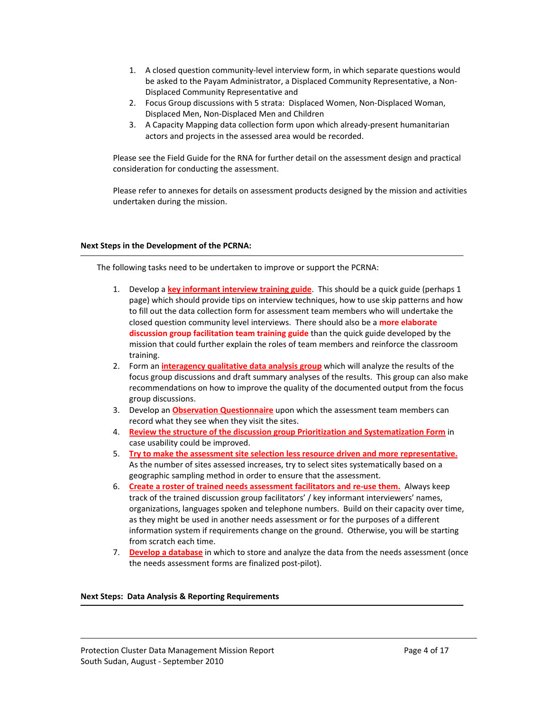- 1. A closed question community‐level interview form, in which separate questions would be asked to the Payam Administrator, a Displaced Community Representative, a Non-Displaced Community Representative and
- 2. Focus Group discussions with 5 strata: Displaced Women, Non‐Displaced Woman, Displaced Men, Non‐Displaced Men and Children
- 3. A Capacity Mapping data collection form upon which already-present humanitarian actors and projects in the assessed area would be recorded.

Please see the Field Guide for the RNA for further detail on the assessment design and practical consideration for conducting the assessment.

Please refer to annexes for details on assessment products designed by the mission and activities undertaken during the mission.

#### **Next Steps in the Development of the PCRNA:**

The following tasks need to be undertaken to improve or support the PCRNA:

- 1. Develop a **key informant interview training guide**. This should be a quick guide (perhaps 1 page) which should provide tips on interview techniques, how to use skip patterns and how to fill out the data collection form for assessment team members who will undertake the closed question community level interviews. There should also be a **more elaborate discussion group facilitation team training guide** than the quick guide developed by the mission that could further explain the roles of team members and reinforce the classroom training.
- 2. Form an **interagency qualitative data analysis group** which will analyze the results of the focus group discussions and draft summary analyses of the results. This group can also make recommendations on how to improve the quality of the documented output from the focus group discussions.
- 3. Develop an **Observation Questionnaire** upon which the assessment team members can record what they see when they visit the sites.
- 4. **Review the structure of the discussion group Prioritization and Systematization Form** in case usability could be improved.
- 5. **Try to make the assessment site selection less resource driven and more representative.**  As the number of sites assessed increases, try to select sites systematically based on a geographic sampling method in order to ensure that the assessment.
- 6. **Create a roster of trained needs assessment facilitators and re‐use them.** Always keep track of the trained discussion group facilitators' / key informant interviewers' names, organizations, languages spoken and telephone numbers. Build on their capacity over time, as they might be used in another needs assessment or for the purposes of a different information system if requirements change on the ground. Otherwise, you will be starting from scratch each time.
- 7. **Develop a database** in which to store and analyze the data from the needs assessment (once the needs assessment forms are finalized post‐pilot).

#### **Next Steps: Data Analysis & Reporting Requirements**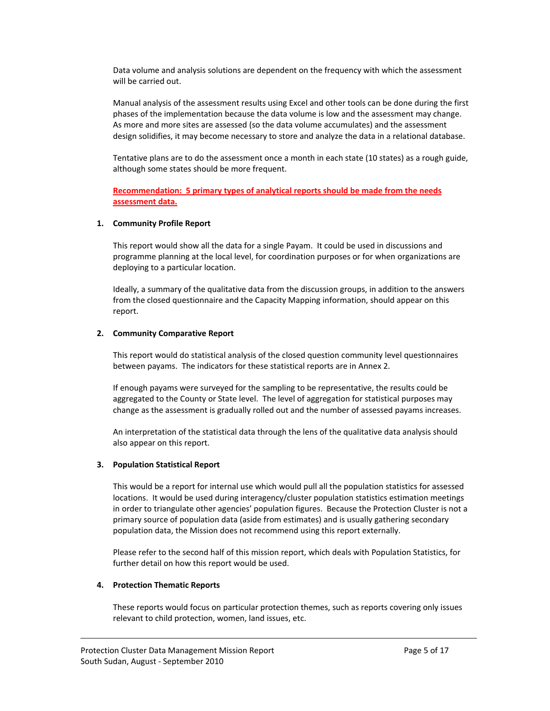Data volume and analysis solutions are dependent on the frequency with which the assessment will be carried out.

Manual analysis of the assessment results using Excel and other tools can be done during the first phases of the implementation because the data volume is low and the assessment may change. As more and more sites are assessed (so the data volume accumulates) and the assessment design solidifies, it may become necessary to store and analyze the data in a relational database.

Tentative plans are to do the assessment once a month in each state (10 states) as a rough guide, although some states should be more frequent.

**Recommendation: 5 primary types of analytical reports should be made from the needs assessment data.**

#### **1. Community Profile Report**

This report would show all the data for a single Payam. It could be used in discussions and programme planning at the local level, for coordination purposes or for when organizations are deploying to a particular location.

Ideally, a summary of the qualitative data from the discussion groups, in addition to the answers from the closed questionnaire and the Capacity Mapping information, should appear on this report.

#### **2. Community Comparative Report**

This report would do statistical analysis of the closed question community level questionnaires between payams. The indicators for these statistical reports are in Annex 2.

If enough payams were surveyed for the sampling to be representative, the results could be aggregated to the County or State level. The level of aggregation for statistical purposes may change as the assessment is gradually rolled out and the number of assessed payams increases.

An interpretation of the statistical data through the lens of the qualitative data analysis should also appear on this report.

## **3. Population Statistical Report**

This would be a report for internal use which would pull all the population statistics for assessed locations. It would be used during interagency/cluster population statistics estimation meetings in order to triangulate other agencies' population figures. Because the Protection Cluster is not a primary source of population data (aside from estimates) and is usually gathering secondary population data, the Mission does not recommend using this report externally.

Please refer to the second half of this mission report, which deals with Population Statistics, for further detail on how this report would be used.

#### **4. Protection Thematic Reports**

These reports would focus on particular protection themes, such as reports covering only issues relevant to child protection, women, land issues, etc.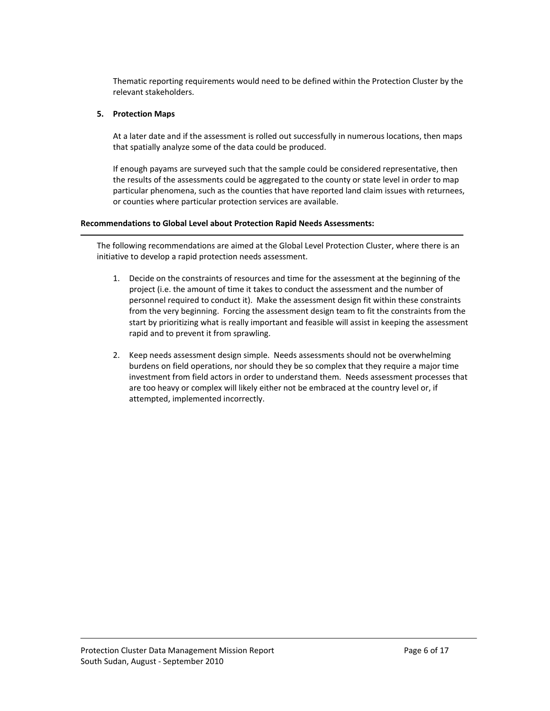Thematic reporting requirements would need to be defined within the Protection Cluster by the relevant stakeholders.

## **5. Protection Maps**

At a later date and if the assessment is rolled out successfully in numerous locations, then maps that spatially analyze some of the data could be produced.

If enough payams are surveyed such that the sample could be considered representative, then the results of the assessments could be aggregated to the county or state level in order to map particular phenomena, such as the counties that have reported land claim issues with returnees, or counties where particular protection services are available.

## **Recommendations to Global Level about Protection Rapid Needs Assessments:**

The following recommendations are aimed at the Global Level Protection Cluster, where there is an initiative to develop a rapid protection needs assessment.

- 1. Decide on the constraints of resources and time for the assessment at the beginning of the project (i.e. the amount of time it takes to conduct the assessment and the number of personnel required to conduct it). Make the assessment design fit within these constraints from the very beginning. Forcing the assessment design team to fit the constraints from the start by prioritizing what is really important and feasible will assist in keeping the assessment rapid and to prevent it from sprawling.
- 2. Keep needs assessment design simple. Needs assessments should not be overwhelming burdens on field operations, nor should they be so complex that they require a major time investment from field actors in order to understand them. Needs assessment processes that are too heavy or complex will likely either not be embraced at the country level or, if attempted, implemented incorrectly.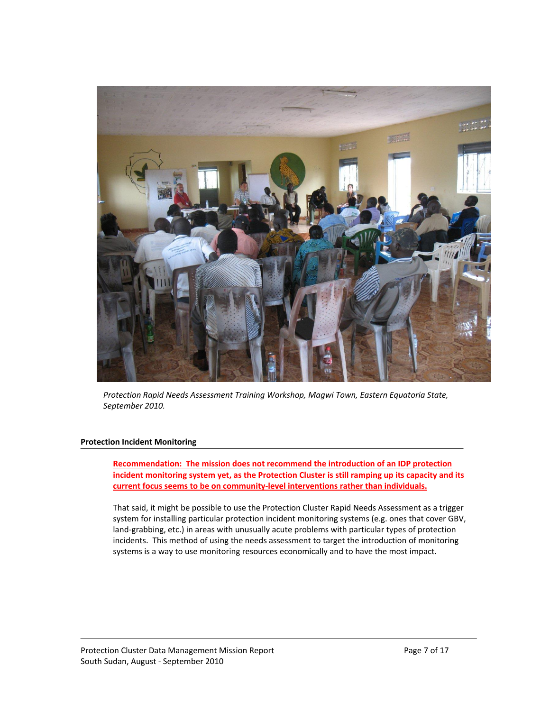

*Protection Rapid Needs Assessment Training Workshop, Magwi Town, Eastern Equatoria State, September 2010.*

## **Protection Incident Monitoring**

**Recommendation: The mission does not recommend the introduction of an IDP protection incident monitoring system yet, as the Protection Cluster is still ramping up its capacity and its current focus seems to be on community‐level interventions rather than individuals.** 

That said, it might be possible to use the Protection Cluster Rapid Needs Assessment as a trigger system for installing particular protection incident monitoring systems (e.g. ones that cover GBV, land‐grabbing, etc.) in areas with unusually acute problems with particular types of protection incidents. This method of using the needs assessment to target the introduction of monitoring systems is a way to use monitoring resources economically and to have the most impact.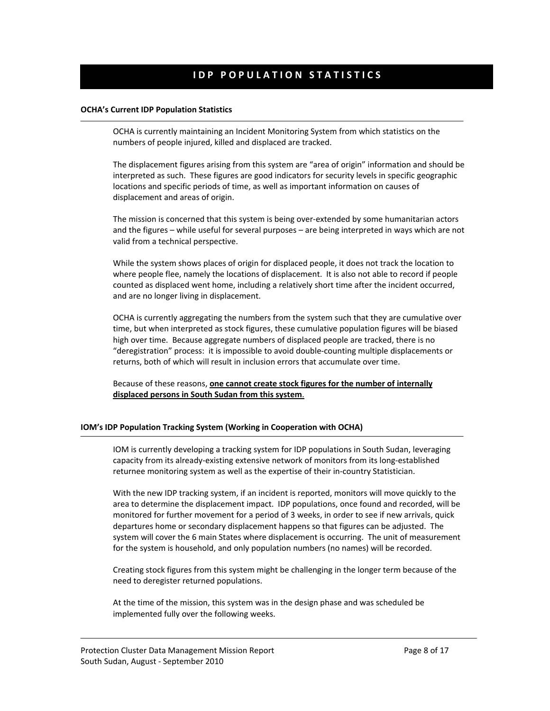## **I D P P O P U L A T I O N S T A T I S T I C S**

#### **OCHA's Current IDP Population Statistics**

OCHA is currently maintaining an Incident Monitoring System from which statistics on the numbers of people injured, killed and displaced are tracked.

The displacement figures arising from this system are "area of origin" information and should be interpreted as such. These figures are good indicators for security levels in specific geographic locations and specific periods of time, as well as important information on causes of displacement and areas of origin.

The mission is concerned that this system is being over-extended by some humanitarian actors and the figures – while useful for several purposes – are being interpreted in ways which are not valid from a technical perspective.

While the system shows places of origin for displaced people, it does not track the location to where people flee, namely the locations of displacement. It is also not able to record if people counted as displaced went home, including a relatively short time after the incident occurred, and are no longer living in displacement.

OCHA is currently aggregating the numbers from the system such that they are cumulative over time, but when interpreted as stock figures, these cumulative population figures will be biased high over time. Because aggregate numbers of displaced people are tracked, there is no "deregistration" process: it is impossible to avoid double‐counting multiple displacements or returns, both of which will result in inclusion errors that accumulate over time.

Because of these reasons, **one cannot create stock figures for the number of internally displaced persons in South Sudan from this system**.

## **IOM's IDP Population Tracking System (Working in Cooperation with OCHA)**

IOM is currently developing a tracking system for IDP populations in South Sudan, leveraging capacity from its already‐existing extensive network of monitors from its long‐established returnee monitoring system as well as the expertise of their in‐country Statistician.

With the new IDP tracking system, if an incident is reported, monitors will move quickly to the area to determine the displacement impact. IDP populations, once found and recorded, will be monitored for further movement for a period of 3 weeks, in order to see if new arrivals, quick departures home or secondary displacement happens so that figures can be adjusted. The system will cover the 6 main States where displacement is occurring. The unit of measurement for the system is household, and only population numbers (no names) will be recorded.

Creating stock figures from this system might be challenging in the longer term because of the need to deregister returned populations.

At the time of the mission, this system was in the design phase and was scheduled be implemented fully over the following weeks.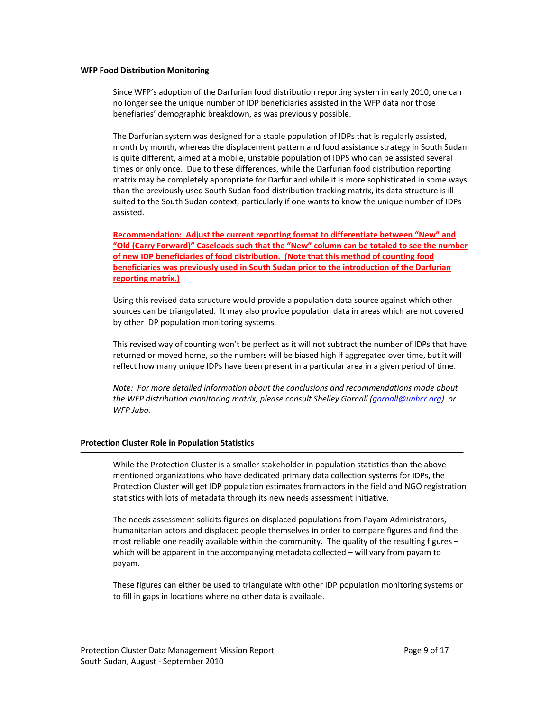Since WFP's adoption of the Darfurian food distribution reporting system in early 2010, one can no longer see the unique number of IDP beneficiaries assisted in the WFP data nor those benefiaries' demographic breakdown, as was previously possible.

The Darfurian system was designed for a stable population of IDPs that is regularly assisted, month by month, whereas the displacement pattern and food assistance strategy in South Sudan is quite different, aimed at a mobile, unstable population of IDPS who can be assisted several times or only once. Due to these differences, while the Darfurian food distribution reporting matrix may be completely appropriate for Darfur and while it is more sophisticated in some ways than the previously used South Sudan food distribution tracking matrix, its data structure is ill‐ suited to the South Sudan context, particularly if one wants to know the unique number of IDPs assisted.

## **Recommendation: Adjust the current reporting format to differentiate between "New" and "Old (Carry Forward)" Caseloads such that the "New" column can be totaled to see the number of new IDP beneficiaries of food distribution. (Note that this method of counting food beneficiaries was previously used in South Sudan prior to the introduction of the Darfurian reporting matrix.)**

Using this revised data structure would provide a population data source against which other sources can be triangulated. It may also provide population data in areas which are not covered by other IDP population monitoring systems.

This revised way of counting won't be perfect as it will not subtract the number of IDPs that have returned or moved home, so the numbers will be biased high if aggregated over time, but it will reflect how many unique IDPs have been present in a particular area in a given period of time.

*Note: For more detailed information about the conclusions and recommendations made about the WFP distribution monitoring matrix, please consult Shelley Gornall (gornall@unhcr.org) or WFP Juba.*

## **Protection Cluster Role in Population Statistics**

While the Protection Cluster is a smaller stakeholder in population statistics than the abovementioned organizations who have dedicated primary data collection systems for IDPs, the Protection Cluster will get IDP population estimates from actors in the field and NGO registration statistics with lots of metadata through its new needs assessment initiative.

The needs assessment solicits figures on displaced populations from Payam Administrators, humanitarian actors and displaced people themselves in order to compare figures and find the most reliable one readily available within the community. The quality of the resulting figures – which will be apparent in the accompanying metadata collected – will vary from payam to payam.

These figures can either be used to triangulate with other IDP population monitoring systems or to fill in gaps in locations where no other data is available.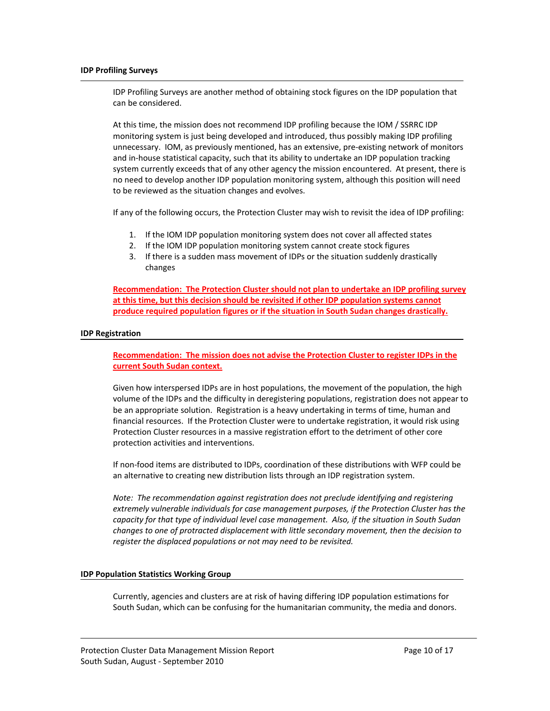#### **IDP Profiling Surveys**

IDP Profiling Surveys are another method of obtaining stock figures on the IDP population that can be considered.

At this time, the mission does not recommend IDP profiling because the IOM / SSRRC IDP monitoring system is just being developed and introduced, thus possibly making IDP profiling unnecessary. IOM, as previously mentioned, has an extensive, pre‐existing network of monitors and in‐house statistical capacity, such that its ability to undertake an IDP population tracking system currently exceeds that of any other agency the mission encountered. At present, there is no need to develop another IDP population monitoring system, although this position will need to be reviewed as the situation changes and evolves.

If any of the following occurs, the Protection Cluster may wish to revisit the idea of IDP profiling:

- 1. If the IOM IDP population monitoring system does not cover all affected states
- 2. If the IOM IDP population monitoring system cannot create stock figures
- 3. If there is a sudden mass movement of IDPs or the situation suddenly drastically changes

**Recommendation: The Protection Cluster should not plan to undertake an IDP profiling survey at this time, but this decision should be revisited if other IDP population systems cannot produce required population figures or if the situation in South Sudan changes drastically.**

#### **IDP Registration**

## **Recommendation: The mission does not advise the Protection Cluster to register IDPs in the current South Sudan context.**

Given how interspersed IDPs are in host populations, the movement of the population, the high volume of the IDPs and the difficulty in deregistering populations, registration does not appear to be an appropriate solution. Registration is a heavy undertaking in terms of time, human and financial resources. If the Protection Cluster were to undertake registration, it would risk using Protection Cluster resources in a massive registration effort to the detriment of other core protection activities and interventions.

If non‐food items are distributed to IDPs, coordination of these distributions with WFP could be an alternative to creating new distribution lists through an IDP registration system.

*Note: The recommendation against registration does not preclude identifying and registering extremely vulnerable individuals for case management purposes, if the Protection Cluster has the capacity for that type of individual level case management. Also, if the situation in South Sudan changes to one of protracted displacement with little secondary movement, then the decision to register the displaced populations or not may need to be revisited.*

#### **IDP Population Statistics Working Group**

Currently, agencies and clusters are at risk of having differing IDP population estimations for South Sudan, which can be confusing for the humanitarian community, the media and donors.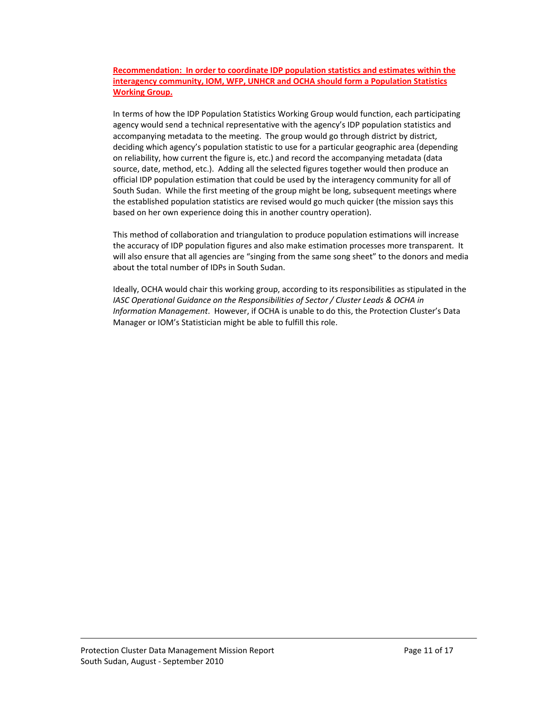**Recommendation: In order to coordinate IDP population statistics and estimates within the interagency community, IOM, WFP, UNHCR and OCHA should form a Population Statistics Working Group.**

In terms of how the IDP Population Statistics Working Group would function, each participating agency would send a technical representative with the agency's IDP population statistics and accompanying metadata to the meeting. The group would go through district by district, deciding which agency's population statistic to use for a particular geographic area (depending on reliability, how current the figure is, etc.) and record the accompanying metadata (data source, date, method, etc.). Adding all the selected figures together would then produce an official IDP population estimation that could be used by the interagency community for all of South Sudan. While the first meeting of the group might be long, subsequent meetings where the established population statistics are revised would go much quicker (the mission says this based on her own experience doing this in another country operation).

This method of collaboration and triangulation to produce population estimations will increase the accuracy of IDP population figures and also make estimation processes more transparent. It will also ensure that all agencies are "singing from the same song sheet" to the donors and media about the total number of IDPs in South Sudan.

Ideally, OCHA would chair this working group, according to its responsibilities as stipulated in the *IASC Operational Guidance on the Responsibilities of Sector / Cluster Leads & OCHA in Information Management*. However, if OCHA is unable to do this, the Protection Cluster's Data Manager or IOM's Statistician might be able to fulfill this role.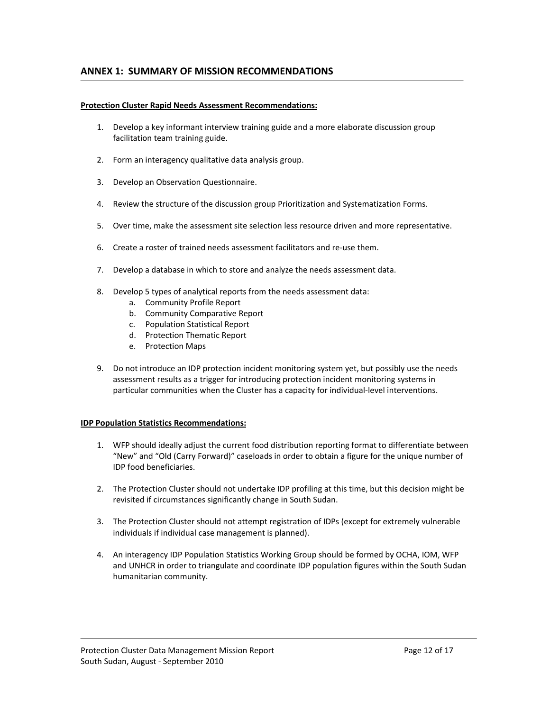## **ANNEX 1: SUMMARY OF MISSION RECOMMENDATIONS**

## **Protection Cluster Rapid Needs Assessment Recommendations:**

- 1. Develop a key informant interview training guide and a more elaborate discussion group facilitation team training guide.
- 2. Form an interagency qualitative data analysis group.
- 3. Develop an Observation Questionnaire.
- 4. Review the structure of the discussion group Prioritization and Systematization Forms.
- 5. Over time, make the assessment site selection less resource driven and more representative.
- 6. Create a roster of trained needs assessment facilitators and re‐use them.
- 7. Develop a database in which to store and analyze the needs assessment data.
- 8. Develop 5 types of analytical reports from the needs assessment data:
	- a. Community Profile Report
	- b. Community Comparative Report
	- c. Population Statistical Report
	- d. Protection Thematic Report
	- e. Protection Maps
- 9. Do not introduce an IDP protection incident monitoring system yet, but possibly use the needs assessment results as a trigger for introducing protection incident monitoring systems in particular communities when the Cluster has a capacity for individual-level interventions.

## **IDP Population Statistics Recommendations:**

- 1. WFP should ideally adjust the current food distribution reporting format to differentiate between "New" and "Old (Carry Forward)" caseloads in order to obtain a figure for the unique number of IDP food beneficiaries.
- 2. The Protection Cluster should not undertake IDP profiling at this time, but this decision might be revisited if circumstances significantly change in South Sudan.
- 3. The Protection Cluster should not attempt registration of IDPs (except for extremely vulnerable individuals if individual case management is planned).
- 4. An interagency IDP Population Statistics Working Group should be formed by OCHA, IOM, WFP and UNHCR in order to triangulate and coordinate IDP population figures within the South Sudan humanitarian community.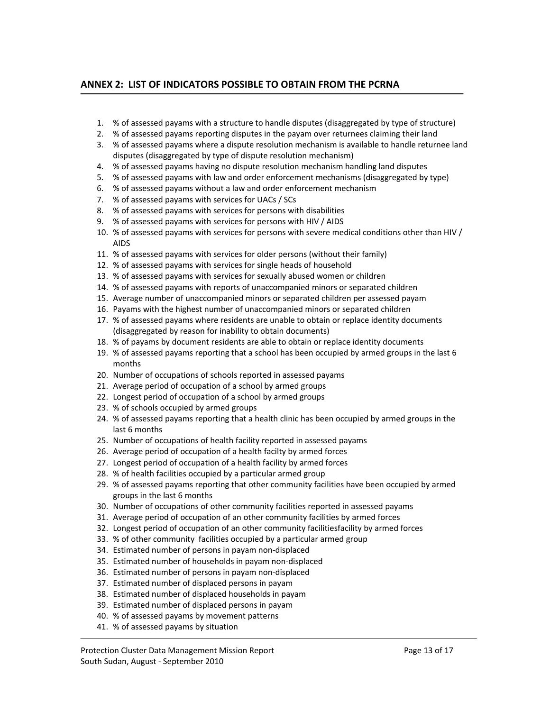## **ANNEX 2: LIST OF INDICATORS POSSIBLE TO OBTAIN FROM THE PCRNA**

- 1. % of assessed payams with a structure to handle disputes (disaggregated by type of structure)
- 2. % of assessed payams reporting disputes in the payam over returnees claiming their land
- 3. % of assessed payams where a dispute resolution mechanism is available to handle returnee land disputes (disaggregated by type of dispute resolution mechanism)
- 4. % of assessed payams having no dispute resolution mechanism handling land disputes
- 5. % of assessed payams with law and order enforcement mechanisms (disaggregated by type)
- 6. % of assessed payams without a law and order enforcement mechanism
- 7. % of assessed payams with services for UACs / SCs
- 8. % of assessed payams with services for persons with disabilities
- 9. % of assessed payams with services for persons with HIV / AIDS
- 10. % of assessed payams with services for persons with severe medical conditions other than HIV / AIDS
- 11. % of assessed payams with services for older persons (without their family)
- 12. % of assessed payams with services for single heads of household
- 13. % of assessed payams with services for sexually abused women or children
- 14. % of assessed payams with reports of unaccompanied minors or separated children
- 15. Average number of unaccompanied minors or separated children per assessed payam
- 16. Payams with the highest number of unaccompanied minors or separated children
- 17. % of assessed payams where residents are unable to obtain or replace identity documents (disaggregated by reason for inability to obtain documents)
- 18. % of payams by document residents are able to obtain or replace identity documents
- 19. % of assessed payams reporting that a school has been occupied by armed groups in the last 6 months
- 20. Number of occupations of schools reported in assessed payams
- 21. Average period of occupation of a school by armed groups
- 22. Longest period of occupation of a school by armed groups
- 23. % of schools occupied by armed groups
- 24. % of assessed payams reporting that a health clinic has been occupied by armed groups in the last 6 months
- 25. Number of occupations of health facility reported in assessed payams
- 26. Average period of occupation of a health facilty by armed forces
- 27. Longest period of occupation of a health facility by armed forces
- 28. % of health facilities occupied by a particular armed group
- 29. % of assessed payams reporting that other community facilities have been occupied by armed groups in the last 6 months
- 30. Number of occupations of other community facilities reported in assessed payams
- 31. Average period of occupation of an other community facilities by armed forces
- 32. Longest period of occupation of an other community facilitiesfacility by armed forces
- 33. % of other community facilities occupied by a particular armed group
- 34. Estimated number of persons in payam non‐displaced
- 35. Estimated number of households in payam non‐displaced
- 36. Estimated number of persons in payam non‐displaced
- 37. Estimated number of displaced persons in payam
- 38. Estimated number of displaced households in payam
- 39. Estimated number of displaced persons in payam
- 40. % of assessed payams by movement patterns
- 41. % of assessed payams by situation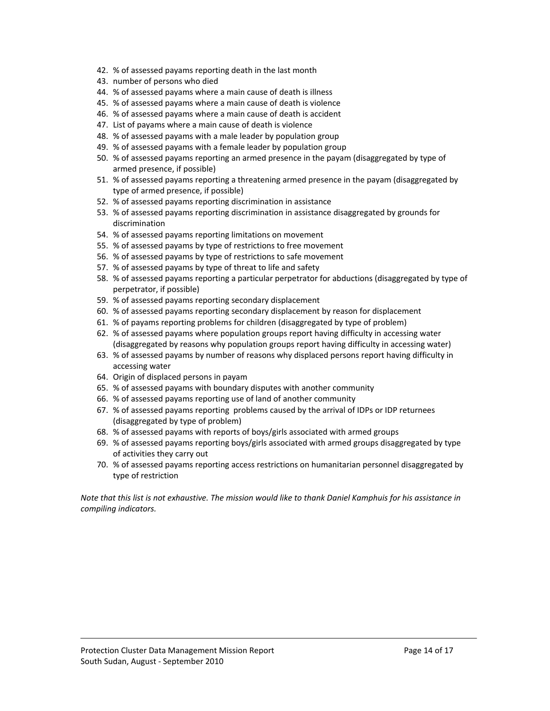- 42. % of assessed payams reporting death in the last month
- 43. number of persons who died
- 44. % of assessed payams where a main cause of death is illness
- 45. % of assessed payams where a main cause of death is violence
- 46. % of assessed payams where a main cause of death is accident
- 47. List of payams where a main cause of death is violence
- 48. % of assessed payams with a male leader by population group
- 49. % of assessed payams with a female leader by population group
- 50. % of assessed payams reporting an armed presence in the payam (disaggregated by type of armed presence, if possible)
- 51. % of assessed payams reporting a threatening armed presence in the payam (disaggregated by type of armed presence, if possible)
- 52. % of assessed payams reporting discrimination in assistance
- 53. % of assessed payams reporting discrimination in assistance disaggregated by grounds for discrimination
- 54. % of assessed payams reporting limitations on movement
- 55. % of assessed payams by type of restrictions to free movement
- 56. % of assessed payams by type of restrictions to safe movement
- 57. % of assessed payams by type of threat to life and safety
- 58. % of assessed payams reporting a particular perpetrator for abductions (disaggregated by type of perpetrator, if possible)
- 59. % of assessed payams reporting secondary displacement
- 60. % of assessed payams reporting secondary displacement by reason for displacement
- 61. % of payams reporting problems for children (disaggregated by type of problem)
- 62. % of assessed payams where population groups report having difficulty in accessing water (disaggregated by reasons why population groups report having difficulty in accessing water)
- 63. % of assessed payams by number of reasons why displaced persons report having difficulty in accessing water
- 64. Origin of displaced persons in payam
- 65. % of assessed payams with boundary disputes with another community
- 66. % of assessed payams reporting use of land of another community
- 67. % of assessed payams reporting problems caused by the arrival of IDPs or IDP returnees (disaggregated by type of problem)
- 68. % of assessed payams with reports of boys/girls associated with armed groups
- 69. % of assessed payams reporting boys/girls associated with armed groups disaggregated by type of activities they carry out
- 70. % of assessed payams reporting access restrictions on humanitarian personnel disaggregated by type of restriction

Note that this list is not exhaustive. The mission would like to thank Daniel Kamphuis for his assistance in *compiling indicators.*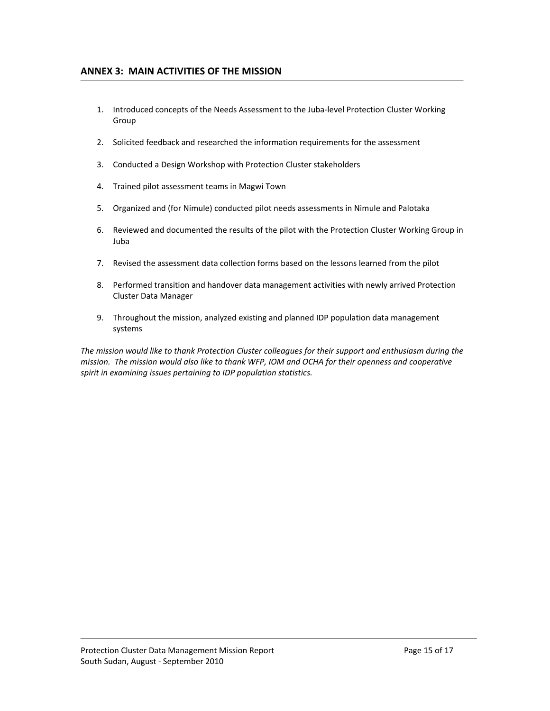## **ANNEX 3: MAIN ACTIVITIES OF THE MISSION**

- 1. Introduced concepts of the Needs Assessment to the Juba-level Protection Cluster Working Group
- 2. Solicited feedback and researched the information requirements for the assessment
- 3. Conducted a Design Workshop with Protection Cluster stakeholders
- 4. Trained pilot assessment teams in Magwi Town
- 5. Organized and (for Nimule) conducted pilot needs assessments in Nimule and Palotaka
- 6. Reviewed and documented the results of the pilot with the Protection Cluster Working Group in Juba
- 7. Revised the assessment data collection forms based on the lessons learned from the pilot
- 8. Performed transition and handover data management activities with newly arrived Protection Cluster Data Manager
- 9. Throughout the mission, analyzed existing and planned IDP population data management systems

*The mission would like to thank Protection Cluster colleagues for their support and enthusiasm during the* mission. The mission would also like to thank WFP, IOM and OCHA for their openness and cooperative *spirit in examining issues pertaining to IDP population statistics.*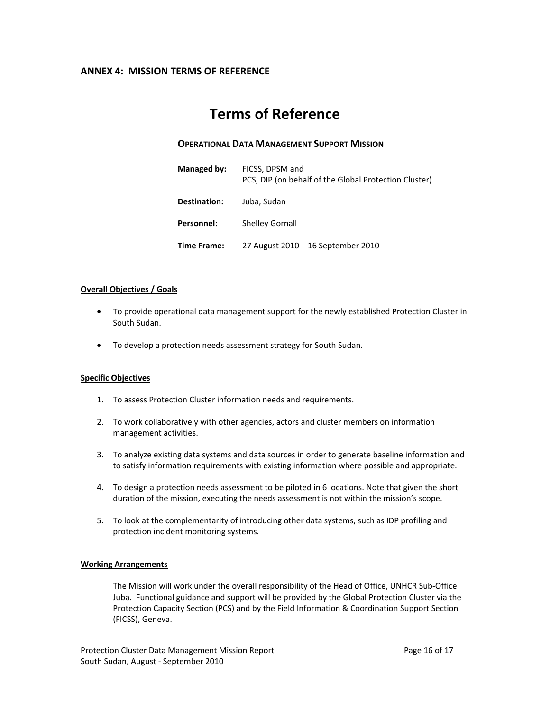# **Terms of Reference**

## **OPERATIONAL DATA MANAGEMENT SUPPORT MISSION**

| Managed by:        | FICSS, DPSM and<br>PCS, DIP (on behalf of the Global Protection Cluster) |
|--------------------|--------------------------------------------------------------------------|
| Destination:       | Juba, Sudan                                                              |
| Personnel:         | <b>Shelley Gornall</b>                                                   |
| <b>Time Frame:</b> | 27 August 2010 – 16 September 2010                                       |

## **Overall Objectives / Goals**

- To provide operational data management support for the newly established Protection Cluster in South Sudan.
- To develop a protection needs assessment strategy for South Sudan.

## **Specific Objectives**

- 1. To assess Protection Cluster information needs and requirements.
- 2. To work collaboratively with other agencies, actors and cluster members on information management activities.
- 3. To analyze existing data systems and data sources in order to generate baseline information and to satisfy information requirements with existing information where possible and appropriate.
- 4. To design a protection needs assessment to be piloted in 6 locations. Note that given the short duration of the mission, executing the needs assessment is not within the mission's scope.
- 5. To look at the complementarity of introducing other data systems, such as IDP profiling and protection incident monitoring systems.

## **Working Arrangements**

The Mission will work under the overall responsibility of the Head of Office, UNHCR Sub‐Office Juba. Functional guidance and support will be provided by the Global Protection Cluster via the Protection Capacity Section (PCS) and by the Field Information & Coordination Support Section (FICSS), Geneva.